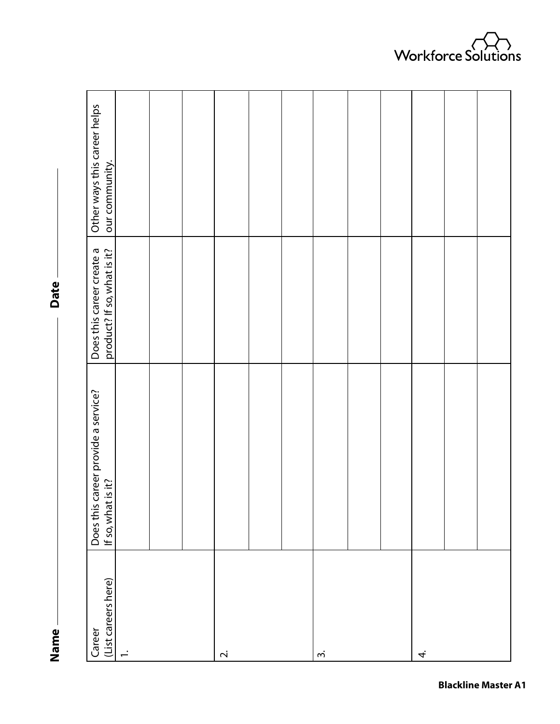**Name Date** Name-

Date -

| (List careers here)<br>Career | Does this career provide a service?<br>If so, what is it? | Does this career create a<br>product? If so, what is it? | Other ways this career helps<br>our community. |
|-------------------------------|-----------------------------------------------------------|----------------------------------------------------------|------------------------------------------------|
| ÷                             |                                                           |                                                          |                                                |
|                               |                                                           |                                                          |                                                |
|                               |                                                           |                                                          |                                                |
| $\overline{\sim}$             |                                                           |                                                          |                                                |
|                               |                                                           |                                                          |                                                |
|                               |                                                           |                                                          |                                                |
| $\dot{m}$                     |                                                           |                                                          |                                                |
|                               |                                                           |                                                          |                                                |
|                               |                                                           |                                                          |                                                |
| 4.                            |                                                           |                                                          |                                                |
|                               |                                                           |                                                          |                                                |
|                               |                                                           |                                                          |                                                |

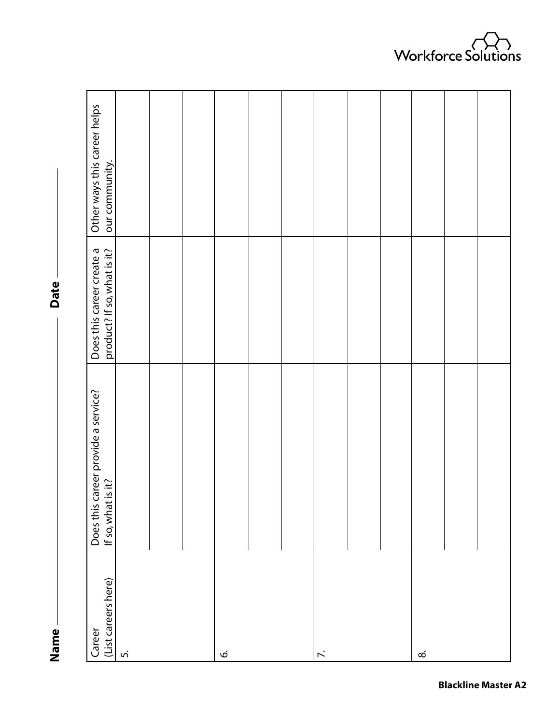**Name Date** Name-

Date -

| (List careers here)<br>Career | Does this career provide a service?<br>If so, what is it? | Does this career create a<br>product? If so, what is it? | Other ways this career helps<br>our community. |
|-------------------------------|-----------------------------------------------------------|----------------------------------------------------------|------------------------------------------------|
| ெ                             |                                                           |                                                          |                                                |
|                               |                                                           |                                                          |                                                |
|                               |                                                           |                                                          |                                                |
| Ġ.                            |                                                           |                                                          |                                                |
|                               |                                                           |                                                          |                                                |
|                               |                                                           |                                                          |                                                |
|                               |                                                           |                                                          |                                                |
|                               |                                                           |                                                          |                                                |
|                               |                                                           |                                                          |                                                |
| $\infty$                      |                                                           |                                                          |                                                |
|                               |                                                           |                                                          |                                                |
|                               |                                                           |                                                          |                                                |

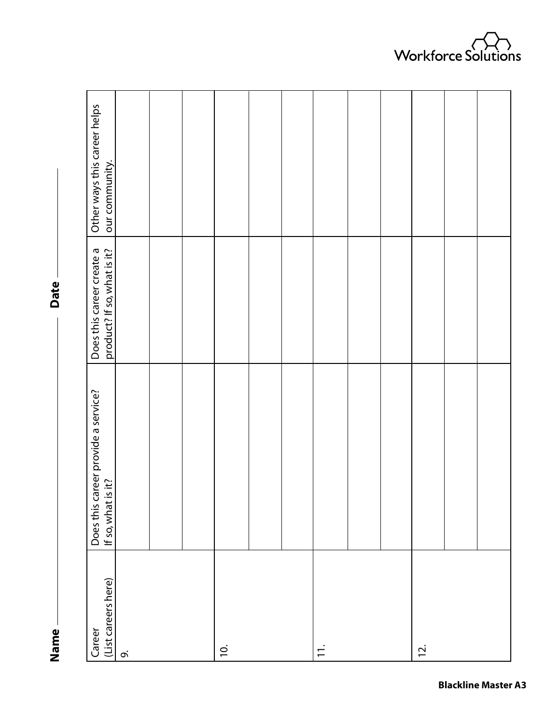**Name Date** Name-

Date -

| (List careers here)<br>Career | Does this career provide a service?<br>If so, what is it? | Does this career create a<br>product? If so, what is it? | Other ways this career helps<br>our community. |
|-------------------------------|-----------------------------------------------------------|----------------------------------------------------------|------------------------------------------------|
| o.                            |                                                           |                                                          |                                                |
|                               |                                                           |                                                          |                                                |
|                               |                                                           |                                                          |                                                |
| $\overline{0}$                |                                                           |                                                          |                                                |
|                               |                                                           |                                                          |                                                |
|                               |                                                           |                                                          |                                                |
| $\div$                        |                                                           |                                                          |                                                |
|                               |                                                           |                                                          |                                                |
|                               |                                                           |                                                          |                                                |
| $\overline{2}$ .              |                                                           |                                                          |                                                |
|                               |                                                           |                                                          |                                                |
|                               |                                                           |                                                          |                                                |

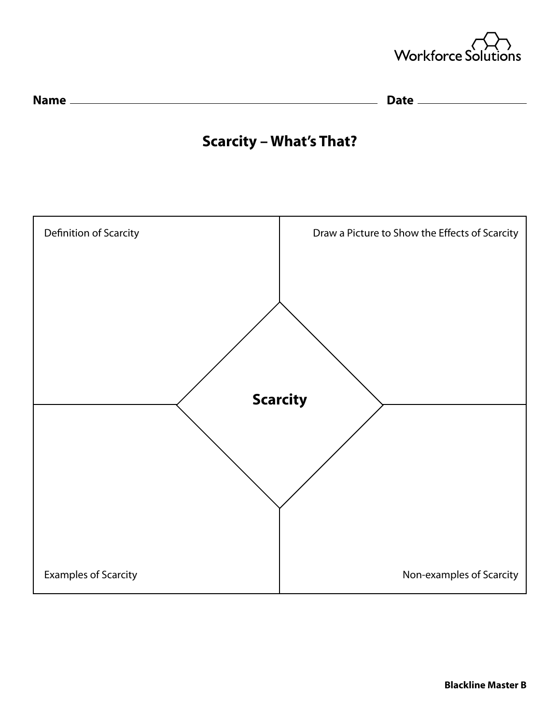



## **Scarcity – What's That?**

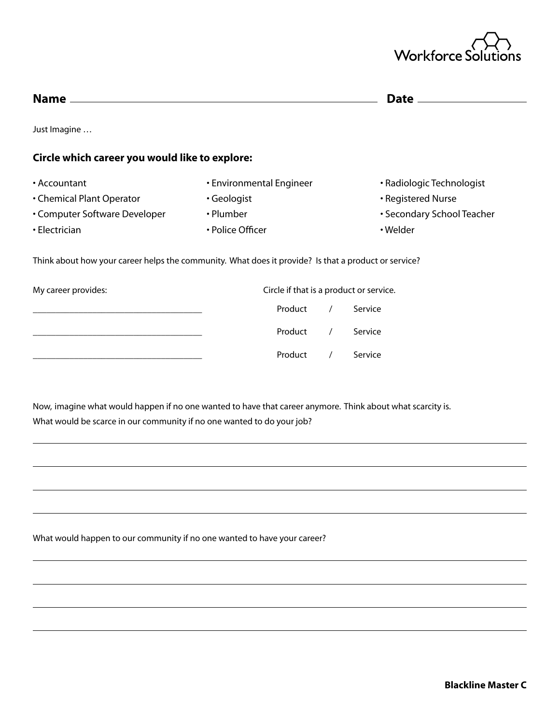

|                                                                                                      |                          | Date _                                  |
|------------------------------------------------------------------------------------------------------|--------------------------|-----------------------------------------|
| Just Imagine                                                                                         |                          |                                         |
| Circle which career you would like to explore:                                                       |                          |                                         |
| • Accountant                                                                                         | • Environmental Engineer | • Radiologic Technologist               |
| • Chemical Plant Operator                                                                            | · Geologist              | • Registered Nurse                      |
| • Computer Software Developer                                                                        | • Plumber                | • Secondary School Teacher              |
| • Electrician                                                                                        | • Police Officer         | • Welder                                |
| Think about how your career helps the community. What does it provide? Is that a product or service? |                          |                                         |
| My career provides:                                                                                  |                          | Circle if that is a product or service. |
|                                                                                                      | Product                  | Service                                 |
|                                                                                                      | Product                  | Service                                 |
|                                                                                                      | Product                  | Service                                 |

Now, imagine what would happen if no one wanted to have that career anymore. Think about what scarcity is. What would be scarce in our community if no one wanted to do your job?

What would happen to our community if no one wanted to have your career?